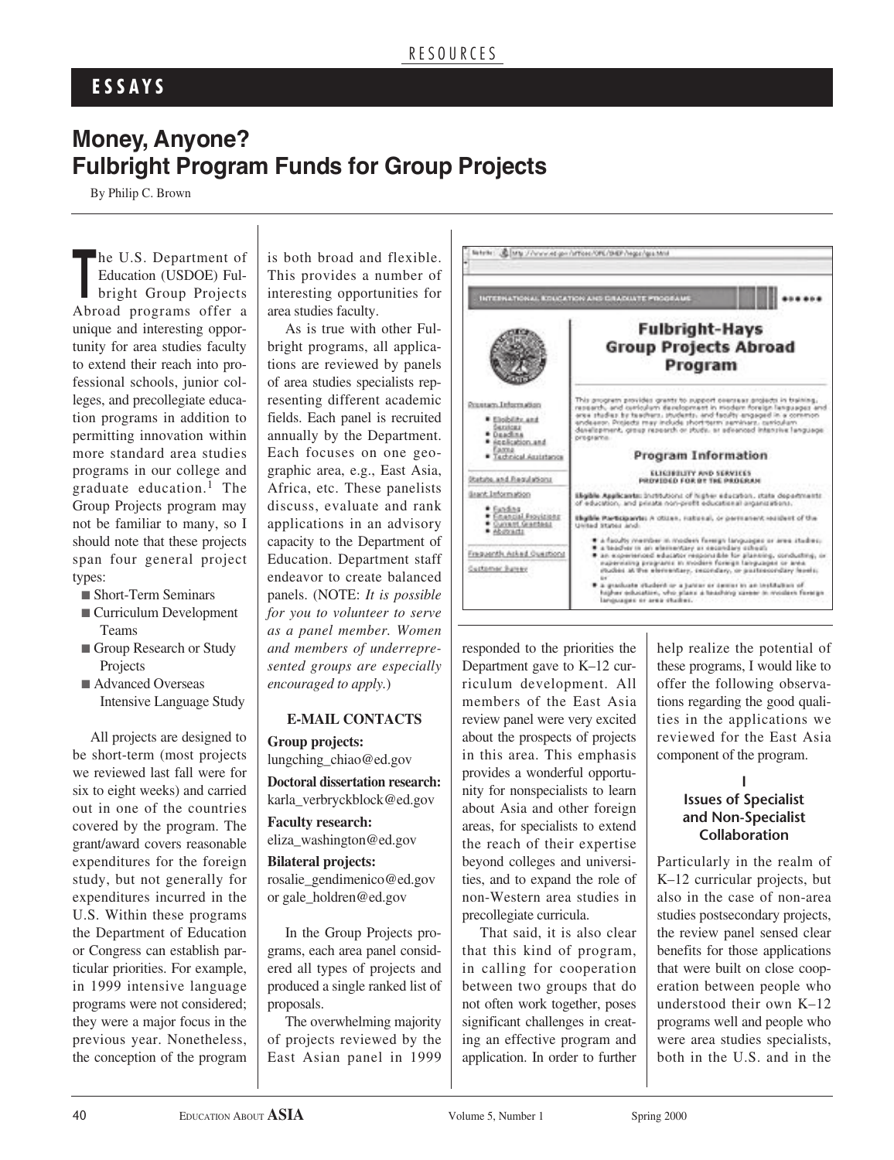# **E S S A Y S**

# **Money, Anyone? Fulbright Program Funds for Group Projects**

By Philip C. Brown

The U.S. Department of<br>Education (USDOE) Ful-<br>bright Group Projects Education (USDOE) Fulbright Group Projects Abroad programs offer a unique and interesting opportunity for area studies faculty to extend their reach into professional schools, junior colleges, and precollegiate education programs in addition to permitting innovation within more standard area studies programs in our college and graduate education. <sup>1</sup> The Group Projects program may not be familiar to many, so I should note that these projects span four general project types:

■ Short-Term Seminars

- Curriculum Development Teams
- Group Research or Study Projects
- Advanced Overseas Intensive Language Study

All projects are designed to be short-term (most projects we reviewed last fall were for six to eight weeks) and carried out in one of the countries covered by the program. The grant/award covers reasonable expenditures for the foreign study, but not generally for expenditures incurred in the U.S. Within these programs the Department of Education or Congress can establish particular priorities. For example, in 1999 intensive language programs were not considered; they were a major focus in the previous year. Nonetheless, the conception of the program

is both broad and flexible. This provides a number of interesting opportunities for area studies faculty.

As is true with other Fulbright programs, all applications are reviewed by panels of area studies specialists representing different academic fields. Each panel is recruited annually by the Department. Each focuses on one geographic area, e.g., East Asia, Africa, etc. These panelists discuss, evaluate and rank applications in an advisory capacity to the Department of Education. Department staff endeavor to create balanced panels. (NOTE: *It is possible for you to volunteer to serve as a panel member. Women and members of underrepresented groups are especially encouraged to apply.*)

#### **E-MAIL CONTACTS**

**Group projects:**

lungching\_chiao@ed.gov

**Doctoral dissertation research:** karla\_verbryckblock@ed.gov

**Faculty research:** eliza\_washington@ed.gov

### **Bilateral projects:**

rosalie\_gendimenico@ed.gov or gale\_holdren@ed.gov

In the Group Projects programs, each area panel considered all types of projects and produced a single ranked list of proposals.

The overwhelming majority of projects reviewed by the East Asian panel in 1999



responded to the priorities the Department gave to K–12 curriculum development. All members of the East Asia review panel were very excited about the prospects of projects in this area. This emphasis provides a wonderful opportunity for nonspecialists to learn about Asia and other foreign areas, for specialists to extend the reach of their expertise beyond colleges and universities, and to expand the role of non-Western area studies in precollegiate curricula.

That said, it is also clear that this kind of program, in calling for cooperation between two groups that do not often work together, poses significant challenges in creating an effective program and application. In order to further

help realize the potential of these programs, I would like to offer the following observations regarding the good qualities in the applications we reviewed for the East Asia component of the program.

### **I Issues of Specialist and Non-Specialist Collaboration**

Particularly in the realm of K–12 curricular projects, but also in the case of non-area studies postsecondary projects, the review panel sensed clear benefits for those applications that were built on close cooperation between people who understood their own K–12 programs well and people who were area studies specialists, both in the U.S. and in the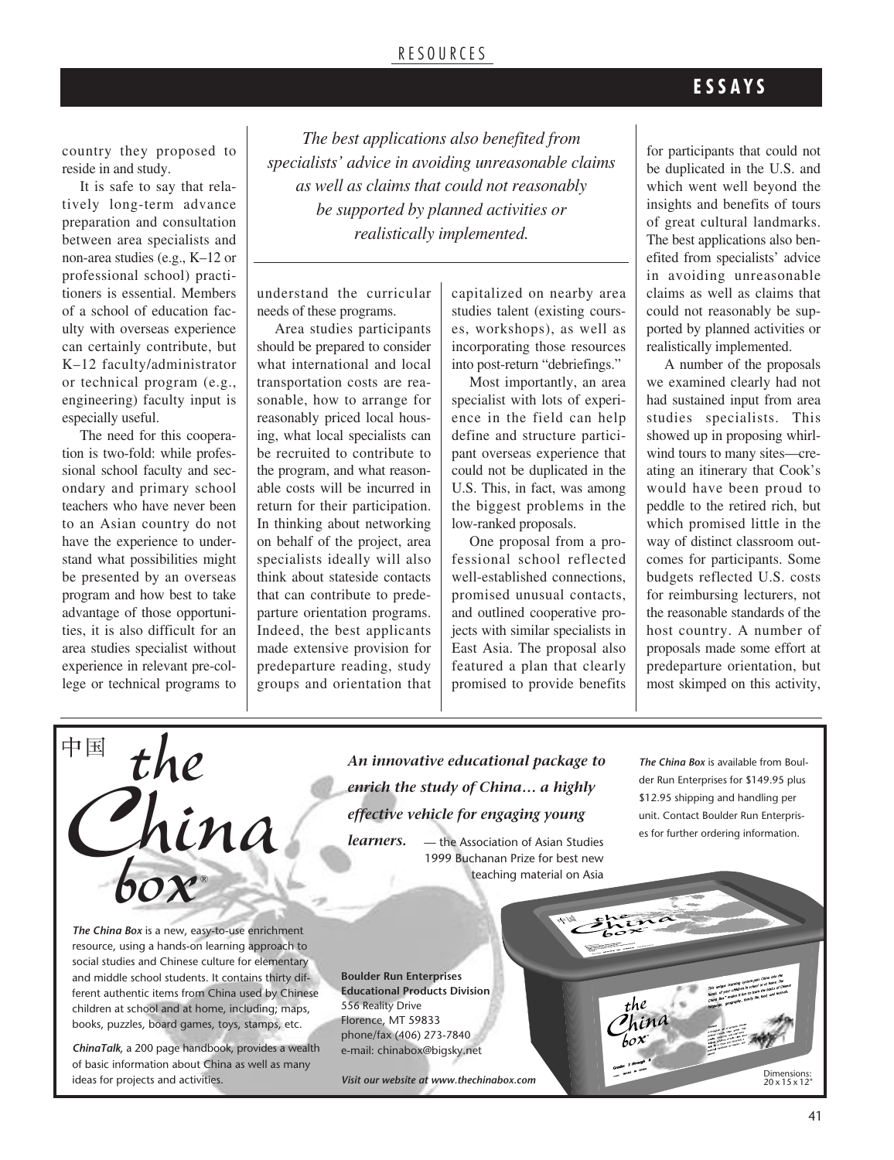### RE S O U RC E S

### **E S S A Y S**

country they proposed to reside in and study.

It is safe to say that relatively long-term advance preparation and consultation between area specialists and non-area studies (e.g., K–12 or professional school) practitioners is essential. Members of a school of education faculty with overseas experience can certainly contribute, but K–12 faculty/administrator or technical program (e.g., engineering) faculty input is especially useful.

The need for this cooperation is two-fold: while professional school faculty and secondary and primary school teachers who have never been to an Asian country do not have the experience to understand what possibilities might be presented by an overseas program and how best to take advantage of those opportunities, it is also difficult for an area studies specialist without experience in relevant pre-college or technical programs to

*The best applications also benefited from specialists' advice in avoiding unreasonable claims as well as claims that could not reasonably be supported by planned activities or realistically implemented.*

understand the curricular needs of these programs.

Area studies participants should be prepared to consider what international and local transportation costs are reasonable, how to arrange for reasonably priced local housing, what local specialists can be recruited to contribute to the program, and what reasonable costs will be incurred in return for their participation. In thinking about networking on behalf of the project, area specialists ideally will also think about stateside contacts that can contribute to predeparture orientation programs. Indeed, the best applicants made extensive provision for predeparture reading, study groups and orientation that

capitalized on nearby area studies talent (existing courses, workshops), as well as incorporating those resources into post-return "debriefings."

Most importantly, an area specialist with lots of experience in the field can help define and structure participant overseas experience that could not be duplicated in the U.S. This, in fact, was among the biggest problems in the low-ranked proposals.

One proposal from a professional school reflected well-established connections, promised unusual contacts, and outlined cooperative projects with similar specialists in East Asia. The proposal also featured a plan that clearly promised to provide benefits

for participants that could not be duplicated in the U.S. and which went well beyond the insights and benefits of tours of great cultural landmarks. The best applications also benefited from specialists' advice in avoiding unreasonable claims as well as claims that could not reasonably be supported by planned activities or realistically implemented.

A number of the proposals we examined clearly had not had sustained input from area studies specialists. This showed up in proposing whirlwind tours to many sites—creating an itinerary that Cook's would have been proud to peddle to the retired rich, but which promised little in the way of distinct classroom outcomes for participants. Some budgets reflected U.S. costs for reimbursing lecturers, not the reasonable standards of the host country. A number of proposals made some effort at predeparture orientation, but most skimped on this activity,



*The China Box* is a new, easy-to-use enrichment resource, using a hands-on learning approach to social studies and Chinese culture for elementary and middle school students. It contains thirty different authentic items from China used by Chinese children at school and at home, including; maps, books, puzzles, board games, toys, stamps, etc.

*ChinaTalk*, a 200 page handbook, provides a wealth of basic information about China as well as many ideas for projects and activities.

*An innovative educational package to enrich the study of China… a highly effective vehicle for engaging young*

*learners.* — the Association of Asian Studies 1999 Buchanan Prize for best new teaching material on Asia

*The China Box* is available from Boulder Run Enterprises for \$149.95 plus \$12.95 shipping and handling per unit. Contact Boulder Run Enterprises for further ordering information.

in

the

**Boulder Run Enterprises Educational Products Division** 556 Reality Drive Florence, MT 59833 phone/fax (406) 273-7840 e-mail: chinabox@bigsky.net

*Visit our website at www.thechinabox.com*

Dimensions: <sup>20</sup> x 15 x 12"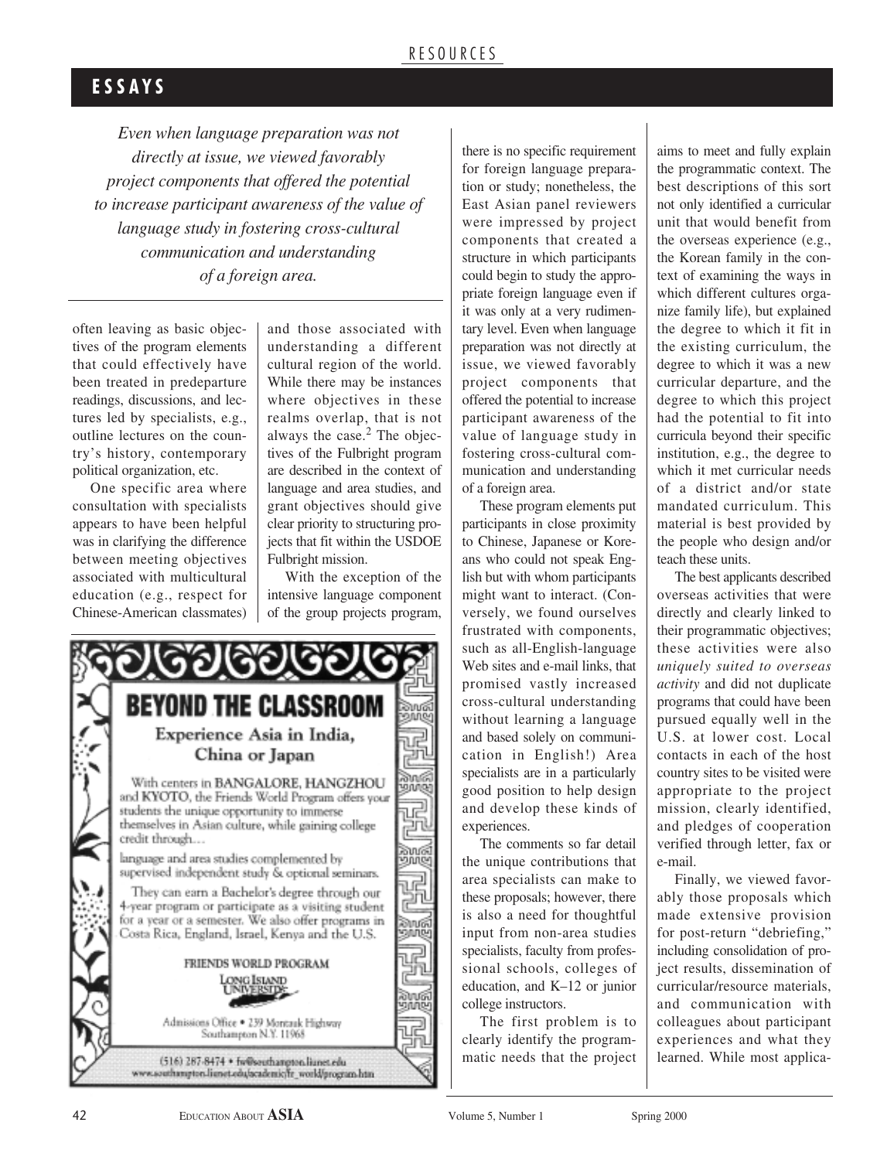### **E S S A Y S**

*Even when language preparation was not directly at issue, we viewed favorably project components that offered the potential to increase participant awareness of the value of language study in fostering cross-cultural communication and understanding of a foreign area.*

often leaving as basic objectives of the program elements that could effectively have been treated in predeparture readings, discussions, and lectures led by specialists, e.g., outline lectures on the country's history, contemporary political organization, etc.

One specific area where consultation with specialists appears to have been helpful was in clarifying the difference between meeting objectives associated with multicultural education (e.g., respect for Chinese-American classmates) and those associated with understanding a different cultural region of the world. While there may be instances where objectives in these realms overlap, that is not always the case. <sup>2</sup> The objectives of the Fulbright program are described in the context of language and area studies, and grant objectives should give clear priority to structuring projects that fit within the USDOE Fulbright mission.

With the exception of the intensive language component of the group projects program,



there is no specific requirement for foreign language preparation or study; nonetheless, the East Asian panel reviewers were impressed by project components that created a structure in which participants could begin to study the appropriate foreign language even if it was only at a very rudimentary level. Even when language preparation was not directly at issue, we viewed favorably project components that offered the potential to increase participant awareness of the value of language study in fostering cross-cultural communication and understanding of a foreign area.

These program elements put participants in close proximity to Chinese, Japanese or Koreans who could not speak English but with whom participants might want to interact. (Conversely, we found ourselves frustrated with components, such as all-English-language Web sites and e-mail links, that promised vastly increased cross-cultural understanding without learning a language and based solely on communication in English!) Area specialists are in a particularly good position to help design and develop these kinds of experiences.

The comments so far detail the unique contributions that area specialists can make to these proposals; however, there is also a need for thoughtful input from non-area studies specialists, faculty from professional schools, colleges of education, and K–12 or junior college instructors.

The first problem is to clearly identify the programmatic needs that the project

aims to meet and fully explain the programmatic context. The best descriptions of this sort not only identified a curricular unit that would benefit from the overseas experience (e.g., the Korean family in the context of examining the ways in which different cultures organize family life), but explained the degree to which it fit in the existing curriculum, the degree to which it was a new curricular departure, and the degree to which this project had the potential to fit into curricula beyond their specific institution, e.g., the degree to which it met curricular needs of a district and/or state mandated curriculum. This material is best provided by the people who design and/or teach these units.

The best applicants described overseas activities that were directly and clearly linked to their programmatic objectives; these activities were also *uniquely suited to overseas activity* and did not duplicate programs that could have been pursued equally well in the U.S. at lower cost. Local contacts in each of the host country sites to be visited were appropriate to the project mission, clearly identified, and pledges of cooperation verified through letter, fax or e-mail.

Finally, we viewed favorably those proposals which made extensive provision for post-return "debriefing," including consolidation of project results, dissemination of curricular/resource materials, and communication with colleagues about participant experiences and what they learned. While most applica-